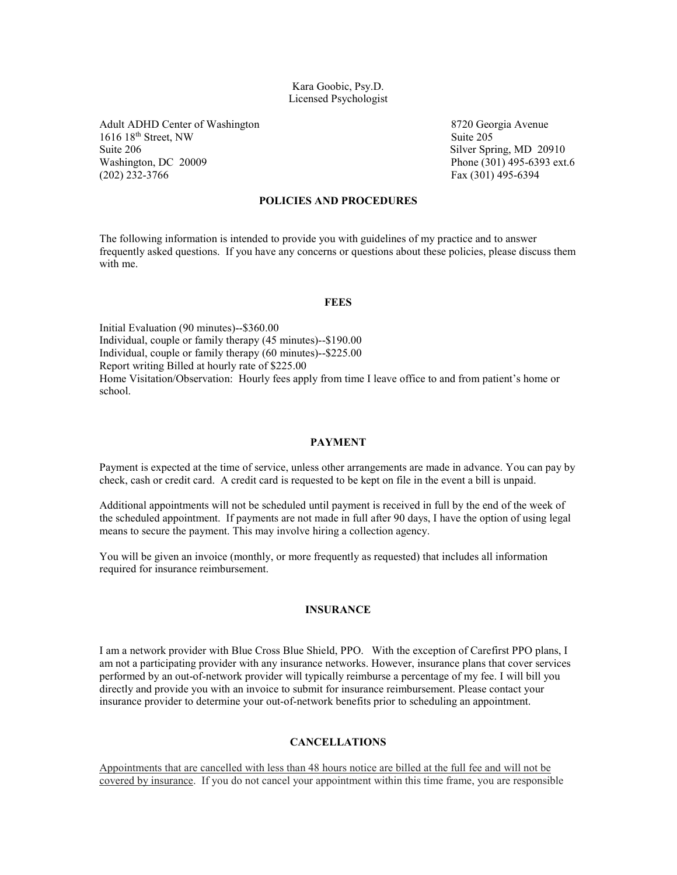### Kara Goobic, Psy.D. Licensed Psychologist

Adult ADHD Center of Washington 8720 Georgia Avenue 1616 18<sup>th</sup> Street, NW Suite 205 Suite 206 Silver Spring, MD 20910<br>Washington, DC 20009 Phone (301) 495-6393 ext. (202) 232-3766 Fax (301) 495-6394

Phone (301) 495-6393 ext.6

# **POLICIES AND PROCEDURES**

The following information is intended to provide you with guidelines of my practice and to answer frequently asked questions. If you have any concerns or questions about these policies, please discuss them with me.

#### **FEES**

Initial Evaluation (90 minutes)--\$360.00 Individual, couple or family therapy (45 minutes)--\$190.00 Individual, couple or family therapy (60 minutes)--\$225.00 Report writing Billed at hourly rate of \$225.00 Home Visitation/Observation: Hourly fees apply from time I leave office to and from patient's home or school.

### **PAYMENT**

Payment is expected at the time of service, unless other arrangements are made in advance. You can pay by check, cash or credit card. A credit card is requested to be kept on file in the event a bill is unpaid.

Additional appointments will not be scheduled until payment is received in full by the end of the week of the scheduled appointment. If payments are not made in full after 90 days, I have the option of using legal means to secure the payment. This may involve hiring a collection agency.

You will be given an invoice (monthly, or more frequently as requested) that includes all information required for insurance reimbursement.

#### **INSURANCE**

I am a network provider with Blue Cross Blue Shield, PPO. With the exception of Carefirst PPO plans, I am not a participating provider with any insurance networks. However, insurance plans that cover services performed by an out-of-network provider will typically reimburse a percentage of my fee. I will bill you directly and provide you with an invoice to submit for insurance reimbursement. Please contact your insurance provider to determine your out-of-network benefits prior to scheduling an appointment.

## **CANCELLATIONS**

Appointments that are cancelled with less than 48 hours notice are billed at the full fee and will not be covered by insurance. If you do not cancel your appointment within this time frame, you are responsible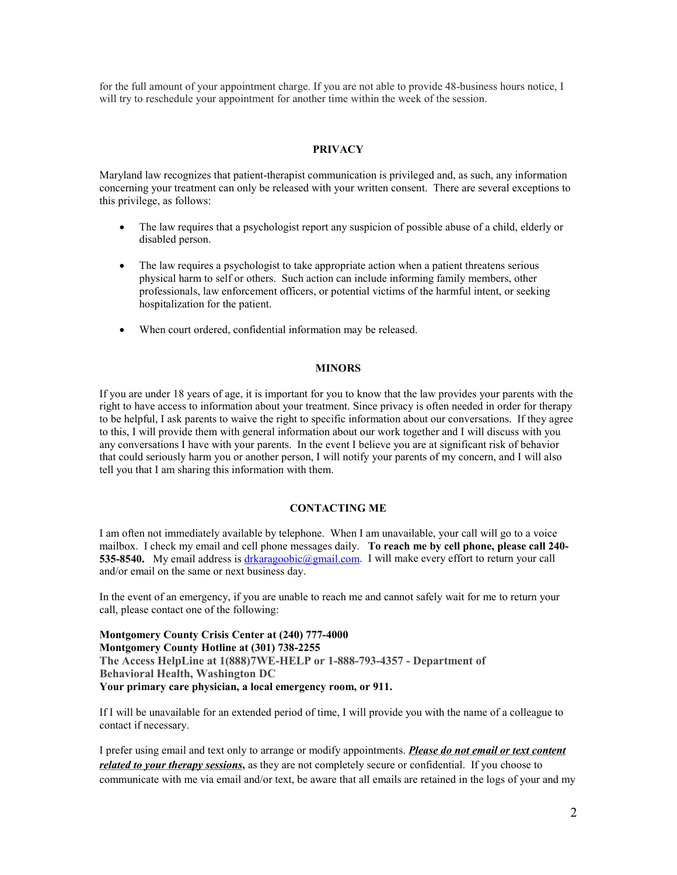for the full amount of your appointment charge. If you are not able to provide 48-business hours notice, I will try to reschedule your appointment for another time within the week of the session.

### **PRIVACY**

Maryland law recognizes that patient-therapist communication is privileged and, as such, any information concerning your treatment can only be released with your written consent. There are several exceptions to this privilege, as follows:

- The law requires that a psychologist report any suspicion of possible abuse of a child, elderly or disabled person.
- The law requires a psychologist to take appropriate action when a patient threatens serious physical harm to self or others. Such action can include informing family members, other professionals, law enforcement officers, or potential victims of the harmful intent, or seeking hospitalization for the patient.
- When court ordered, confidential information may be released.

### **MINORS**

If you are under 18 years of age, it is important for you to know that the law provides your parents with the right to have access to information about your treatment. Since privacy is often needed in order for therapy to be helpful, I ask parents to waive the right to specific information about our conversations. If they agree to this, I will provide them with general information about our work together and I will discuss with you any conversations I have with your parents. In the event I believe you are at significant risk of behavior that could seriously harm you or another person, I will notify your parents of my concern, and I will also tell you that I am sharing this information with them.

#### **CONTACTING ME**

I am often not immediately available by telephone. When I am unavailable, your call will go to a voice mailbox. I check my email and cell phone messages daily. **To reach me by cell phone, please call 240** 535-8540. My email address is [drkaragoobic@gmail.com.](mailto:drkaragoobic@gmail.com) I will make every effort to return your call and/or email on the same or next business day.

In the event of an emergency, if you are unable to reach me and cannot safely wait for me to return your call, please contact one of the following:

**Montgomery County Crisis Center at (240) 777-4000 Montgomery County Hotline at (301) 738-2255 The Access HelpLine at 1(888)7WE-HELP or 1-888-793-4357 - Department of Behavioral Health, Washington DC Your primary care physician, a local emergency room, or 911.**

If I will be unavailable for an extended period of time, I will provide you with the name of a colleague to contact if necessary.

I prefer using email and text only to arrange or modify appointments. *Please do not email or text content related to your therapy sessions***,** as they are not completely secure or confidential. If you choose to communicate with me via email and/or text, be aware that all emails are retained in the logs of your and my